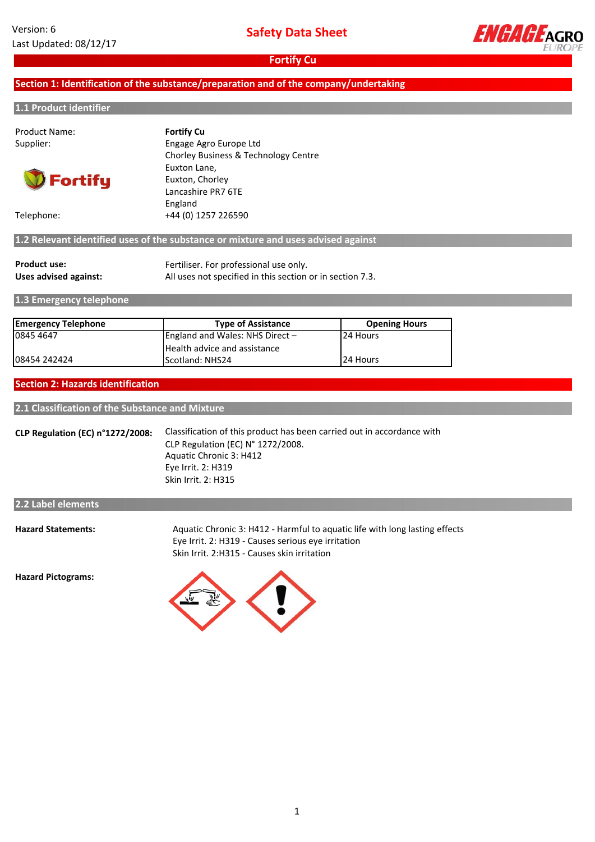

## **Section 1: Identification of the substance/preparation and of the company/undertaking**

### **1.1 Product identifier**

| Product Name:<br>Supplier: | <b>Fortify Cu</b><br>Engage Agro Europe Ltd<br>Chorley Business & Technology Centre |
|----------------------------|-------------------------------------------------------------------------------------|
| <b>D</b> Fortify           | Euxton Lane,<br>Euxton, Chorley<br>Lancashire PR7 6TE                               |
| Telephone:                 | England<br>+44 (0) 1257 226590                                                      |

# **1.2 Relevant identified uses of the substance or mixture and uses advised against**

| Product use:          | Fertiliser. For professional use only.                    |
|-----------------------|-----------------------------------------------------------|
| Uses advised against: | All uses not specified in this section or in section 7.3. |

### **1.3 Emergency telephone**

| <b>Emergency Telephone</b> | <b>Type of Assistance</b>         | <b>Opening Hours</b> |
|----------------------------|-----------------------------------|----------------------|
| 0845 4647                  | England and Wales: NHS Direct $-$ | 124 Hours            |
|                            | Health advice and assistance      |                      |
| 108454 242424              | Scotland: NHS24                   | 24 Hours             |

### **Section 2: Hazards identification**

**2.1 Classification of the Substance and Mixture**

**CLP Regulation (EC) n°1272/2008:** Classification of this product has been carried out in accordance with CLP Regulation (EC) N° 1272/2008. Aquatic Chronic 3: H412 Eye Irrit. 2: H319 Skin Irrit. 2: H315

### **2.2 Label elements**

**Hazard Statements:**

Aquatic Chronic 3: H412 - Harmful to aquatic life with long lasting effects Eye Irrit. 2: H319 - Causes serious eye irritation Skin Irrit. 2:H315 - Causes skin irritation

**Hazard Pictograms:**

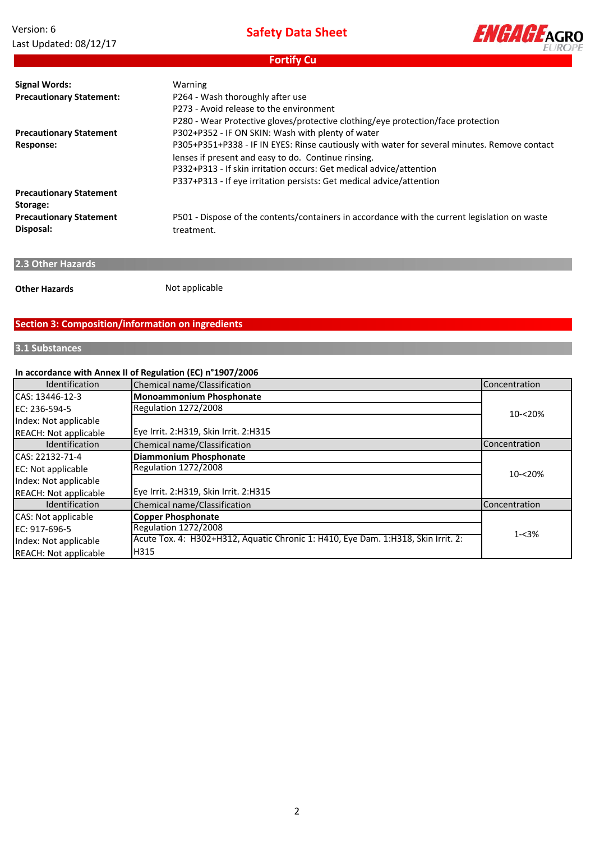Version: 6 Last Updated: 08/12/17 **Safety Data Sheet**



**Fortify Cu**

| <b>Signal Words:</b>            | Warning                                                                                       |
|---------------------------------|-----------------------------------------------------------------------------------------------|
| <b>Precautionary Statement:</b> | P264 - Wash thoroughly after use                                                              |
|                                 | P273 - Avoid release to the environment                                                       |
|                                 | P280 - Wear Protective gloves/protective clothing/eye protection/face protection              |
| <b>Precautionary Statement</b>  | P302+P352 - IF ON SKIN: Wash with plenty of water                                             |
| Response:                       | P305+P351+P338 - IF IN EYES: Rinse cautiously with water for several minutes. Remove contact  |
|                                 | lenses if present and easy to do. Continue rinsing.                                           |
|                                 | P332+P313 - If skin irritation occurs: Get medical advice/attention                           |
|                                 | P337+P313 - If eye irritation persists: Get medical advice/attention                          |
| <b>Precautionary Statement</b>  |                                                                                               |
| Storage:                        |                                                                                               |
| <b>Precautionary Statement</b>  | P501 - Dispose of the contents/containers in accordance with the current legislation on waste |
| Disposal:                       | treatment.                                                                                    |
|                                 |                                                                                               |

# **2.3 Other Hazards**

**Other Hazards**

Not applicable

# **Section 3: Composition/information on ingredients**

# **3.1 Substances**

# **In accordance with Annex II of Regulation (EC) n°1907/2006**

| <b>Identification</b>        | Chemical name/Classification                                                      | Concentration        |
|------------------------------|-----------------------------------------------------------------------------------|----------------------|
| CAS: 13446-12-3              | <b>Monoammonium Phosphonate</b>                                                   |                      |
| EC: 236-594-5                | <b>Regulation 1272/2008</b>                                                       | 10-<20%              |
| Index: Not applicable        |                                                                                   |                      |
| <b>REACH: Not applicable</b> | Eye Irrit. 2:H319, Skin Irrit. 2:H315                                             |                      |
| <b>Identification</b>        | Chemical name/Classification                                                      | <b>Concentration</b> |
| ICAS: 22132-71-4             | <b>Diammonium Phosphonate</b>                                                     |                      |
| EC: Not applicable           | <b>Regulation 1272/2008</b>                                                       | $10 - 20%$           |
| Index: Not applicable        |                                                                                   |                      |
| <b>REACH: Not applicable</b> | Eye Irrit. 2:H319, Skin Irrit. 2:H315                                             |                      |
| <b>Identification</b>        | Chemical name/Classification                                                      | Concentration        |
| CAS: Not applicable          | <b>Copper Phosphonate</b>                                                         |                      |
| EC: 917-696-5                | <b>Regulation 1272/2008</b>                                                       |                      |
| Index: Not applicable        | Acute Tox. 4: H302+H312, Aquatic Chronic 1: H410, Eye Dam. 1:H318, Skin Irrit. 2: | $1 - 3%$             |
| <b>REACH: Not applicable</b> | H315                                                                              |                      |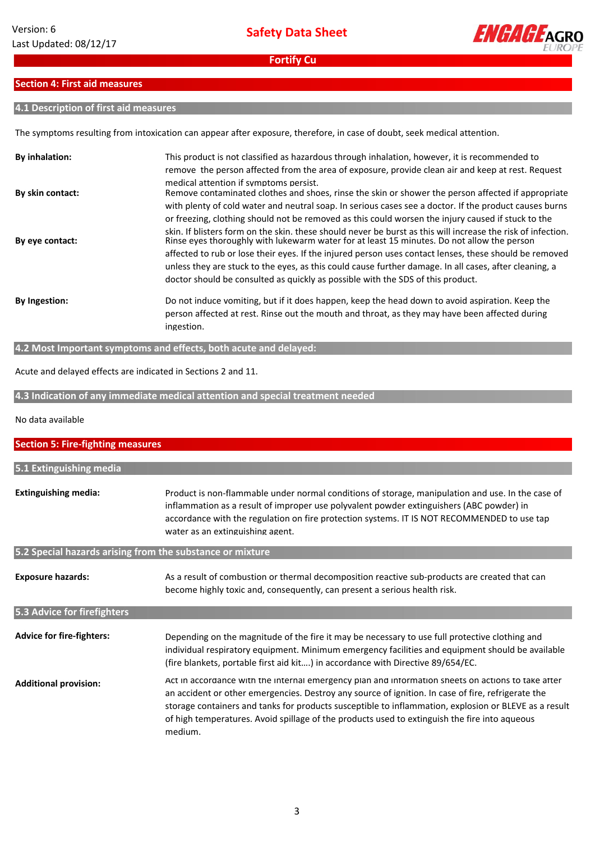

# **Section 4: First aid measures**

# **4.1 Description of first aid measures**

The symptoms resulting from intoxication can appear after exposure, therefore, in case of doubt, seek medical attention.

| <b>By inhalation:</b> | This product is not classified as hazardous through inhalation, however, it is recommended to<br>remove the person affected from the area of exposure, provide clean air and keep at rest. Request<br>medical attention if symptoms persist.                                                                                                                                                                                                                                                                                                                                                                            |
|-----------------------|-------------------------------------------------------------------------------------------------------------------------------------------------------------------------------------------------------------------------------------------------------------------------------------------------------------------------------------------------------------------------------------------------------------------------------------------------------------------------------------------------------------------------------------------------------------------------------------------------------------------------|
| By skin contact:      | Remove contaminated clothes and shoes, rinse the skin or shower the person affected if appropriate<br>with plenty of cold water and neutral soap. In serious cases see a doctor. If the product causes burns                                                                                                                                                                                                                                                                                                                                                                                                            |
| By eye contact:       | or freezing, clothing should not be removed as this could worsen the injury caused if stuck to the<br>skin. If blisters form on the skin, these should never be burst as this will increase the risk of infection.<br>Rinse eyes thoroughly with lukewarm water for at least 15 minutes. Do not allow the person<br>affected to rub or lose their eyes. If the injured person uses contact lenses, these should be removed<br>unless they are stuck to the eyes, as this could cause further damage. In all cases, after cleaning, a<br>doctor should be consulted as quickly as possible with the SDS of this product. |
| <b>By Ingestion:</b>  | Do not induce vomiting, but if it does happen, keep the head down to avoid aspiration. Keep the<br>person affected at rest. Rinse out the mouth and throat, as they may have been affected during<br>ingestion.                                                                                                                                                                                                                                                                                                                                                                                                         |

**4.2 Most Important symptoms and effects, both acute and delayed:**

Acute and delayed effects are indicated in Sections 2 and 11.

**4.3 Indication of any immediate medical attention and special treatment needed**

#### No data available

| <b>Section 5: Fire-fighting measures</b>                                                                                                                                                                                                                                                                                                                        |                                                                                                                                                                                                                                                                                                                                                                                                                               |  |  |
|-----------------------------------------------------------------------------------------------------------------------------------------------------------------------------------------------------------------------------------------------------------------------------------------------------------------------------------------------------------------|-------------------------------------------------------------------------------------------------------------------------------------------------------------------------------------------------------------------------------------------------------------------------------------------------------------------------------------------------------------------------------------------------------------------------------|--|--|
|                                                                                                                                                                                                                                                                                                                                                                 |                                                                                                                                                                                                                                                                                                                                                                                                                               |  |  |
| 5.1 Extinguishing media                                                                                                                                                                                                                                                                                                                                         |                                                                                                                                                                                                                                                                                                                                                                                                                               |  |  |
| <b>Extinguishing media:</b><br>Product is non-flammable under normal conditions of storage, manipulation and use. In the case of<br>inflammation as a result of improper use polyvalent powder extinguishers (ABC powder) in<br>accordance with the regulation on fire protection systems. IT IS NOT RECOMMENDED to use tap<br>water as an extinguishing agent. |                                                                                                                                                                                                                                                                                                                                                                                                                               |  |  |
| 5.2 Special hazards arising from the substance or mixture                                                                                                                                                                                                                                                                                                       |                                                                                                                                                                                                                                                                                                                                                                                                                               |  |  |
| <b>Exposure hazards:</b><br>5.3 Advice for firefighters                                                                                                                                                                                                                                                                                                         | As a result of combustion or thermal decomposition reactive sub-products are created that can<br>become highly toxic and, consequently, can present a serious health risk.                                                                                                                                                                                                                                                    |  |  |
|                                                                                                                                                                                                                                                                                                                                                                 |                                                                                                                                                                                                                                                                                                                                                                                                                               |  |  |
| <b>Advice for fire-fighters:</b>                                                                                                                                                                                                                                                                                                                                | Depending on the magnitude of the fire it may be necessary to use full protective clothing and<br>individual respiratory equipment. Minimum emergency facilities and equipment should be available<br>(fire blankets, portable first aid kit) in accordance with Directive 89/654/EC.                                                                                                                                         |  |  |
| <b>Additional provision:</b>                                                                                                                                                                                                                                                                                                                                    | Act in accordance with the internal emergency plan and information sheets on actions to take after<br>an accident or other emergencies. Destroy any source of ignition. In case of fire, refrigerate the<br>storage containers and tanks for products susceptible to inflammation, explosion or BLEVE as a result<br>of high temperatures. Avoid spillage of the products used to extinguish the fire into aqueous<br>medium. |  |  |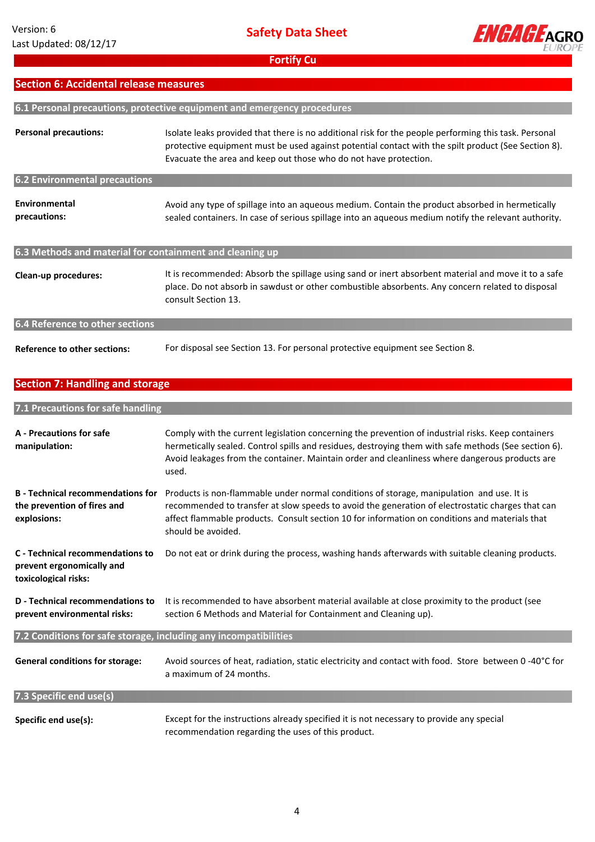

# **Section 6: Accidental release measures**

| 6.1 Personal precautions, protective equipment and emergency procedures |                                                                                                                                                                                                                                                                                  |  |  |
|-------------------------------------------------------------------------|----------------------------------------------------------------------------------------------------------------------------------------------------------------------------------------------------------------------------------------------------------------------------------|--|--|
| <b>Personal precautions:</b>                                            | Isolate leaks provided that there is no additional risk for the people performing this task. Personal<br>protective equipment must be used against potential contact with the spilt product (See Section 8).<br>Evacuate the area and keep out those who do not have protection. |  |  |
| <b>6.2 Environmental precautions</b>                                    |                                                                                                                                                                                                                                                                                  |  |  |
| Environmental<br>precautions:                                           | Avoid any type of spillage into an aqueous medium. Contain the product absorbed in hermetically<br>sealed containers. In case of serious spillage into an aqueous medium notify the relevant authority.                                                                          |  |  |
| 6.3 Methods and material for containment and cleaning up                |                                                                                                                                                                                                                                                                                  |  |  |
| Clean-up procedures:                                                    | It is recommended: Absorb the spillage using sand or inert absorbent material and move it to a safe<br>place. Do not absorb in sawdust or other combustible absorbents. Any concern related to disposal<br>consult Section 13.                                                   |  |  |
| 6.4 Reference to other sections                                         |                                                                                                                                                                                                                                                                                  |  |  |
| <b>Reference to other sections:</b>                                     | For disposal see Section 13. For personal protective equipment see Section 8.                                                                                                                                                                                                    |  |  |

# **Section 7: Handling and storage**

| 7.1 Precautions for safe handling                                                      |                                                                                                                                                                                                                                                                                                                       |
|----------------------------------------------------------------------------------------|-----------------------------------------------------------------------------------------------------------------------------------------------------------------------------------------------------------------------------------------------------------------------------------------------------------------------|
| A - Precautions for safe<br>manipulation:                                              | Comply with the current legislation concerning the prevention of industrial risks. Keep containers<br>hermetically sealed. Control spills and residues, destroying them with safe methods (See section 6).<br>Avoid leakages from the container. Maintain order and cleanliness where dangerous products are<br>used. |
| <b>B</b> - Technical recommendations for<br>the prevention of fires and<br>explosions: | Products is non-flammable under normal conditions of storage, manipulation and use. It is<br>recommended to transfer at slow speeds to avoid the generation of electrostatic charges that can<br>affect flammable products. Consult section 10 for information on conditions and materials that<br>should be avoided. |
| C - Technical recommendations to<br>prevent ergonomically and<br>toxicological risks:  | Do not eat or drink during the process, washing hands afterwards with suitable cleaning products.                                                                                                                                                                                                                     |
| D - Technical recommendations to<br>prevent environmental risks:                       | It is recommended to have absorbent material available at close proximity to the product (see<br>section 6 Methods and Material for Containment and Cleaning up).                                                                                                                                                     |
| 7.2 Conditions for safe storage, including any incompatibilities                       |                                                                                                                                                                                                                                                                                                                       |
| <b>General conditions for storage:</b>                                                 | Avoid sources of heat, radiation, static electricity and contact with food. Store between 0 -40°C for<br>a maximum of 24 months.                                                                                                                                                                                      |
| 7.3 Specific end use(s)                                                                |                                                                                                                                                                                                                                                                                                                       |
| Specific end use(s):                                                                   | Except for the instructions already specified it is not necessary to provide any special<br>recommendation regarding the uses of this product.                                                                                                                                                                        |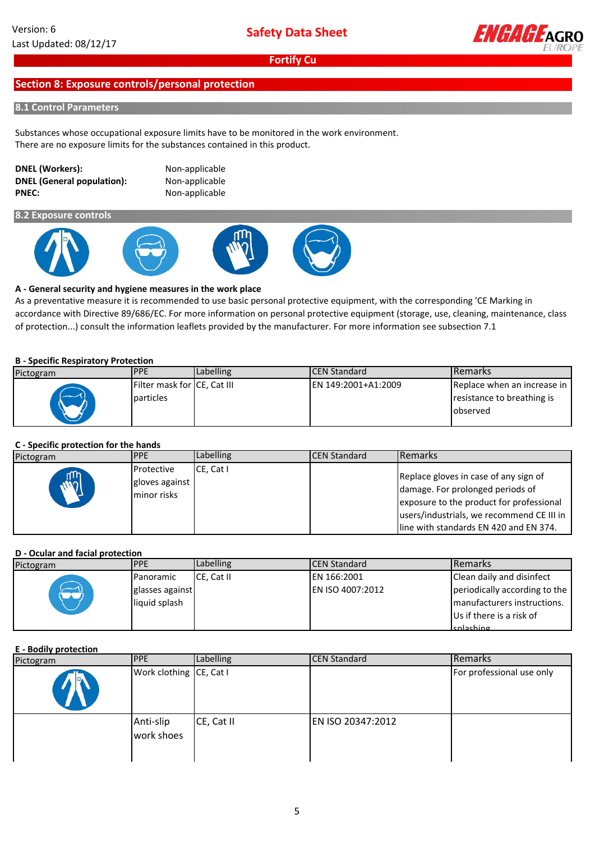

# **Section 8: Exposure controls/personal protection**

### **8.1 Control Parameters**

Substances whose occupational exposure limits have to be monitored in the work environment. There are no exposure limits for the substances contained in this product.

### **DNEL (Workers):** Non-applicable **DNEL (General population):** Non-applicable **PNEC:** Non-applicable

**8.2 Exposure controls**









# **A - General security and hygiene measures in the work place**

As a preventative measure it is recommended to use basic personal protective equipment, with the corresponding 'CE Marking in accordance with Directive 89/686/EC. For more information on personal protective equipment (storage, use, cleaning, maintenance, class of protection...) consult the information leaflets provided by the manufacturer. For more information see subsection 7.1

### **B - Specific Respiratory Protection**

| Pictogram | <b>PPE</b>                                | Labelling | <b>ICEN Standard</b> | <b>I</b> Remarks                                                      |
|-----------|-------------------------------------------|-----------|----------------------|-----------------------------------------------------------------------|
|           | Filter mask for ICE, Cat III<br>particles |           | EN 149:2001+A1:2009  | Replace when an increase in<br>resistance to breathing is<br>observed |

# **C - Specific protection for the hands**

| Pictogram | <b>PPE</b>                                         | Labelling           | <b>ICEN Standard</b> | <b>I</b> Remarks                                                                                                                                                                                              |
|-----------|----------------------------------------------------|---------------------|----------------------|---------------------------------------------------------------------------------------------------------------------------------------------------------------------------------------------------------------|
|           | <b>Protective</b><br>gloves against<br>minor risks | $CE$ . Cat $\vdash$ |                      | Replace gloves in case of any sign of<br>damage. For prolonged periods of<br>exposure to the product for professional<br>users/industrials, we recommend CE III in<br>lline with standards EN 420 and EN 374. |

# **D - Ocular and facial protection**

| Pictogram | <b>PPE</b>      | Labelling  | <b>ICEN Standard</b>    | <b>Remarks</b>                |
|-----------|-----------------|------------|-------------------------|-------------------------------|
|           | Panoramic       | CE. Cat II | EN 166:2001             | Clean daily and disinfect     |
|           | glasses against |            | <b>EN ISO 4007:2012</b> | periodically according to the |
|           | liquid splash   |            |                         | manufacturers instructions.   |
|           |                 |            |                         | Us if there is a risk of      |
|           |                 |            |                         | snlashing                     |

### **E - Bodily protection**

| Pictogram | <b>IPPE</b>             | Labelling  | <b>CEN Standard</b> | Remarks                   |
|-----------|-------------------------|------------|---------------------|---------------------------|
|           | Work clothing CE, Cat I |            |                     | For professional use only |
|           | Anti-slip<br>work shoes | CE, Cat II | EN ISO 20347:2012   |                           |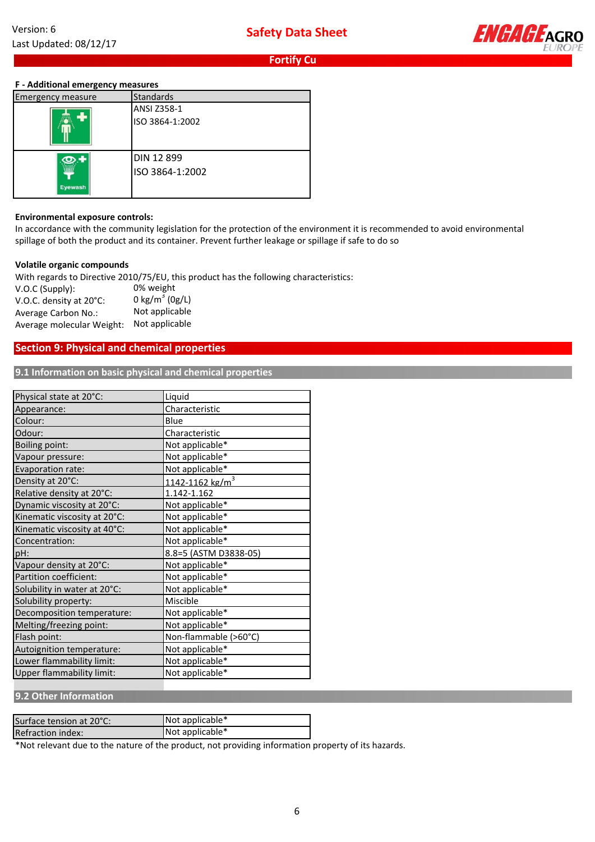

# **F - Additional emergency measures**

| <b>Emergency measure</b> | Standards       |
|--------------------------|-----------------|
|                          | ANSI Z358-1     |
|                          | ISO 3864-1:2002 |
|                          | DIN 12 899      |
| Eyewash                  | ISO 3864-1:2002 |

#### **Environmental exposure controls:**

In accordance with the community legislation for the protection of the environment it is recommended to avoid environmental spillage of both the product and its container. Prevent further leakage or spillage if safe to do so

#### **Volatile organic compounds**

With regards to Directive 2010/75/EU, this product has the following characteristics: V.O.C (Supply): V.O.C. density at 20°C: Average Carbon No.: Average molecular Weight: 0% weight 0 kg/m<sup>3</sup> (0g/L) Not applicable Not applicable

# **Section 9: Physical and chemical properties**

**9.1 Information on basic physical and chemical properties**

| Physical state at 20°C:          | Liquid                      |
|----------------------------------|-----------------------------|
| Appearance:                      | Characteristic              |
| Colour:                          | Blue                        |
| Odour:                           | Characteristic              |
| <b>Boiling point:</b>            | Not applicable*             |
| Vapour pressure:                 | Not applicable*             |
| Evaporation rate:                | Not applicable*             |
| Density at 20°C:                 | 1142-1162 kg/m <sup>3</sup> |
| Relative density at 20°C:        | 1.142-1.162                 |
| Dynamic viscosity at 20°C:       | Not applicable*             |
| Kinematic viscosity at 20°C:     | Not applicable*             |
| Kinematic viscosity at 40°C:     | Not applicable*             |
| Concentration:                   | Not applicable*             |
| pH:                              | 8.8=5 (ASTM D3838-05)       |
| Vapour density at 20°C:          | Not applicable*             |
| Partition coefficient:           | Not applicable*             |
| Solubility in water at 20°C:     | Not applicable*             |
| Solubility property:             | Miscible                    |
| Decomposition temperature:       | Not applicable*             |
| Melting/freezing point:          | Not applicable*             |
| Flash point:                     | Non-flammable (>60°C)       |
| Autoignition temperature:        | Not applicable*             |
| Lower flammability limit:        | Not applicable*             |
| <b>Upper flammability limit:</b> | Not applicable*             |

**9.2 Other Information**

| Surface tension at 20°C: | Not applicable* |
|--------------------------|-----------------|
| <b>Refraction index:</b> | Not applicable* |

\*Not relevant due to the nature of the product, not providing information property of its hazards.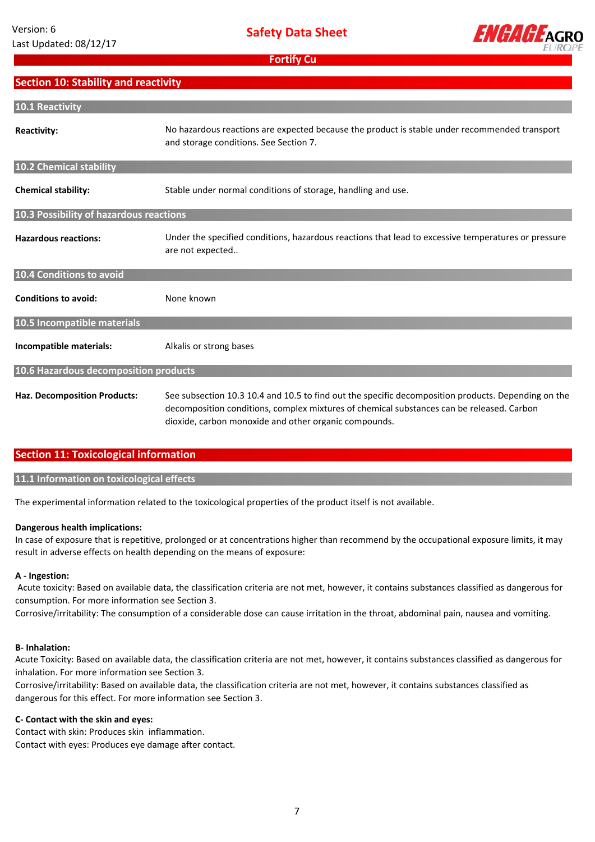

# **Section 10: Stability and reactivity**

| 10.1 Reactivity                         |                                                                                                                                                                                                                                                           |
|-----------------------------------------|-----------------------------------------------------------------------------------------------------------------------------------------------------------------------------------------------------------------------------------------------------------|
| <b>Reactivity:</b>                      | No hazardous reactions are expected because the product is stable under recommended transport<br>and storage conditions. See Section 7.                                                                                                                   |
| 10.2 Chemical stability                 |                                                                                                                                                                                                                                                           |
| <b>Chemical stability:</b>              | Stable under normal conditions of storage, handling and use.                                                                                                                                                                                              |
| 10.3 Possibility of hazardous reactions |                                                                                                                                                                                                                                                           |
| <b>Hazardous reactions:</b>             | Under the specified conditions, hazardous reactions that lead to excessive temperatures or pressure<br>are not expected                                                                                                                                   |
| 10.4 Conditions to avoid                |                                                                                                                                                                                                                                                           |
| <b>Conditions to avoid:</b>             | None known                                                                                                                                                                                                                                                |
| 10.5 Incompatible materials             |                                                                                                                                                                                                                                                           |
| Incompatible materials:                 | Alkalis or strong bases                                                                                                                                                                                                                                   |
| 10.6 Hazardous decomposition products   |                                                                                                                                                                                                                                                           |
| <b>Haz. Decomposition Products:</b>     | See subsection 10.3 10.4 and 10.5 to find out the specific decomposition products. Depending on the<br>decomposition conditions, complex mixtures of chemical substances can be released. Carbon<br>dioxide, carbon monoxide and other organic compounds. |

# **Section 11: Toxicological information**

### **11.1 Information on toxicological effects**

The experimental information related to the toxicological properties of the product itself is not available.

#### **Dangerous health implications:**

In case of exposure that is repetitive, prolonged or at concentrations higher than recommend by the occupational exposure limits, it may result in adverse effects on health depending on the means of exposure:

#### **A - Ingestion:**

 Acute toxicity: Based on available data, the classification criteria are not met, however, it contains substances classified as dangerous for consumption. For more information see Section 3.

Corrosive/irritability: The consumption of a considerable dose can cause irritation in the throat, abdominal pain, nausea and vomiting.

#### **B- Inhalation:**

Acute Toxicity: Based on available data, the classification criteria are not met, however, it contains substances classified as dangerous for inhalation. For more information see Section 3.

Corrosive/irritability: Based on available data, the classification criteria are not met, however, it contains substances classified as dangerous for this effect. For more information see Section 3.

### **C- Contact with the skin and eyes:**

Contact with skin: Produces skin inflammation. Contact with eyes: Produces eye damage after contact.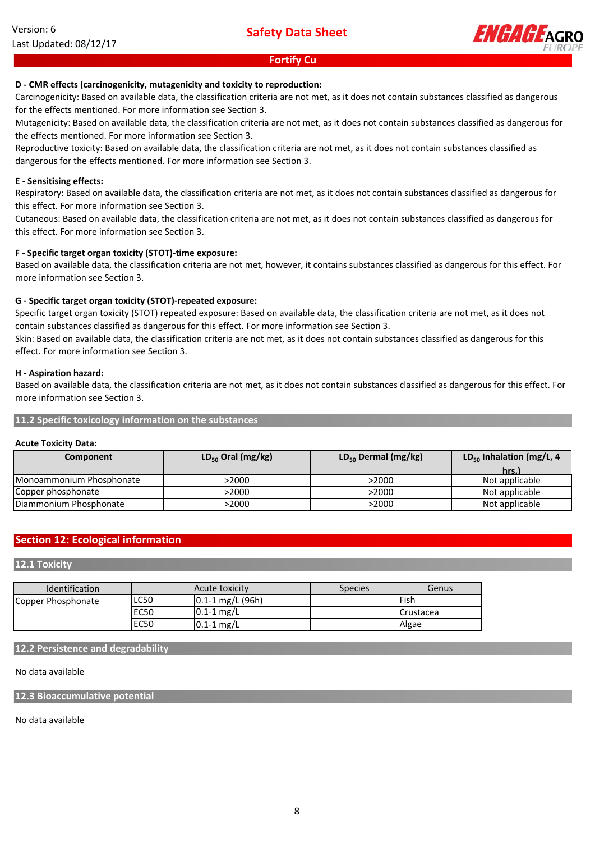

## **D - CMR effects (carcinogenicity, mutagenicity and toxicity to reproduction:**

Carcinogenicity: Based on available data, the classification criteria are not met, as it does not contain substances classified as dangerous for the effects mentioned. For more information see Section 3.

Mutagenicity: Based on available data, the classification criteria are not met, as it does not contain substances classified as dangerous for the effects mentioned. For more information see Section 3.

Reproductive toxicity: Based on available data, the classification criteria are not met, as it does not contain substances classified as dangerous for the effects mentioned. For more information see Section 3.

#### **E - Sensitising effects:**

Respiratory: Based on available data, the classification criteria are not met, as it does not contain substances classified as dangerous for this effect. For more information see Section 3.

Cutaneous: Based on available data, the classification criteria are not met, as it does not contain substances classified as dangerous for this effect. For more information see Section 3.

#### **F - Specific target organ toxicity (STOT)-time exposure:**

Based on available data, the classification criteria are not met, however, it contains substances classified as dangerous for this effect. For more information see Section 3.

### **G - Specific target organ toxicity (STOT)-repeated exposure:**

Specific target organ toxicity (STOT) repeated exposure: Based on available data, the classification criteria are not met, as it does not contain substances classified as dangerous for this effect. For more information see Section 3.

Skin: Based on available data, the classification criteria are not met, as it does not contain substances classified as dangerous for this effect. For more information see Section 3.

#### **H - Aspiration hazard:**

Based on available data, the classification criteria are not met, as it does not contain substances classified as dangerous for this effect. For more information see Section 3.

#### **11.2 Specific toxicology information on the substances**

### **Acute Toxicity Data:**

| Component                | $LD_{50}$ Oral (mg/kg) | $LD_{50}$ Dermal (mg/kg) | $LD_{50}$ Inhalation (mg/L, 4 |  |
|--------------------------|------------------------|--------------------------|-------------------------------|--|
|                          |                        |                          | hrs.)                         |  |
| Monoammonium Phosphonate | >2000                  | >2000                    | Not applicable                |  |
| Copper phosphonate       | >2000                  | >2000                    | Not applicable                |  |
| Diammonium Phosphonate   | >2000                  | >2000                    | Not applicable                |  |

# **Section 12: Ecological information**

### **12.1 Toxicity**

| <b>Identification</b> | Acute toxicity |                      | <b>Species</b> | Genus              |
|-----------------------|----------------|----------------------|----------------|--------------------|
| Copper Phosphonate    | LC50           | $0.1 - 1$ mg/L (96h) |                | <b>lFish</b>       |
|                       | <b>EC50</b>    | $0.1 - 1$ mg/L       |                | <b>I</b> Crustacea |
|                       | <b>EC50</b>    | $0.1 - 1$ mg/L       |                | Algae              |

#### **12.2 Persistence and degradability**

### No data available

### **12.3 Bioaccumulative potential**

No data available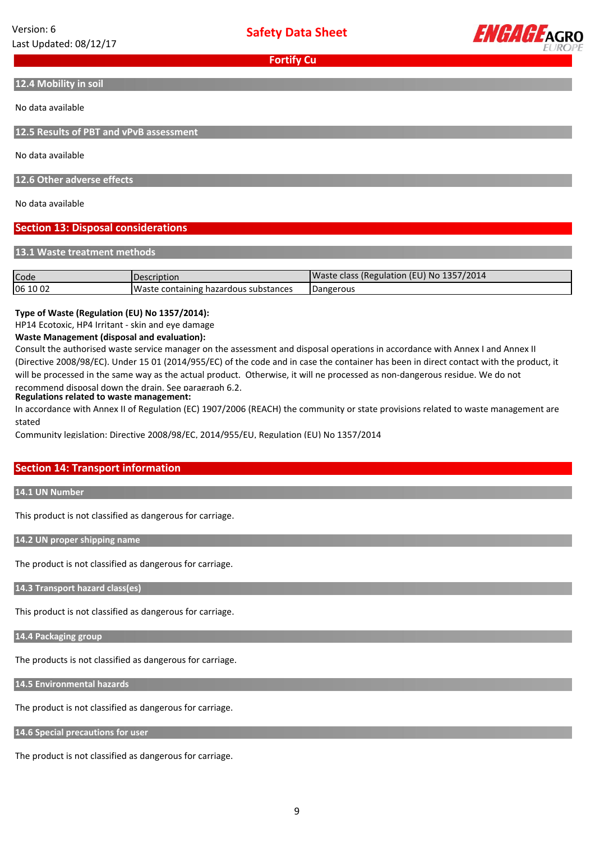**Safety Data Sheet**



**Fortify Cu**

**12.4 Mobility in soil**

No data available

**12.5 Results of PBT and vPvB assessment**

No data available

**12.6 Other adverse effects**

No data available

### **Section 13: Disposal considerations**

**13.1 Waste treatment methods**

| Code     | Description                           | Waste class (Regulation (EU) No 1357/2014 |
|----------|---------------------------------------|-------------------------------------------|
| 06 10 02 | Waste containing hazardous substances | Dangerous                                 |

### **Type of Waste (Regulation (EU) No 1357/2014):**

HP14 Ecotoxic, HP4 Irritant - skin and eye damage

#### **Waste Management (disposal and evaluation):**

Consult the authorised waste service manager on the assessment and disposal operations in accordance with Annex I and Annex II (Directive 2008/98/EC). Under 15 01 (2014/955/EC) of the code and in case the container has been in direct contact with the product, it will be processed in the same way as the actual product. Otherwise, it will ne processed as non-dangerous residue. We do not recommend disposal down the drain. See paragraph 6.2.

# **Regulations related to waste management:**

In accordance with Annex II of Regulation (EC) 1907/2006 (REACH) the community or state provisions related to waste management are stated

Community legislation: Directive 2008/98/EC, 2014/955/EU, Regulation (EU) No 1357/2014

# **Section 14: Transport information**

**14.1 UN Number**

This product is not classified as dangerous for carriage.

**14.2 UN proper shipping name**

The product is not classified as dangerous for carriage.

**14.3 Transport hazard class(es)**

This product is not classified as dangerous for carriage.

**14.4 Packaging group**

The products is not classified as dangerous for carriage.

**14.5 Environmental hazards**

The product is not classified as dangerous for carriage.

**14.6 Special precautions for user**

The product is not classified as dangerous for carriage.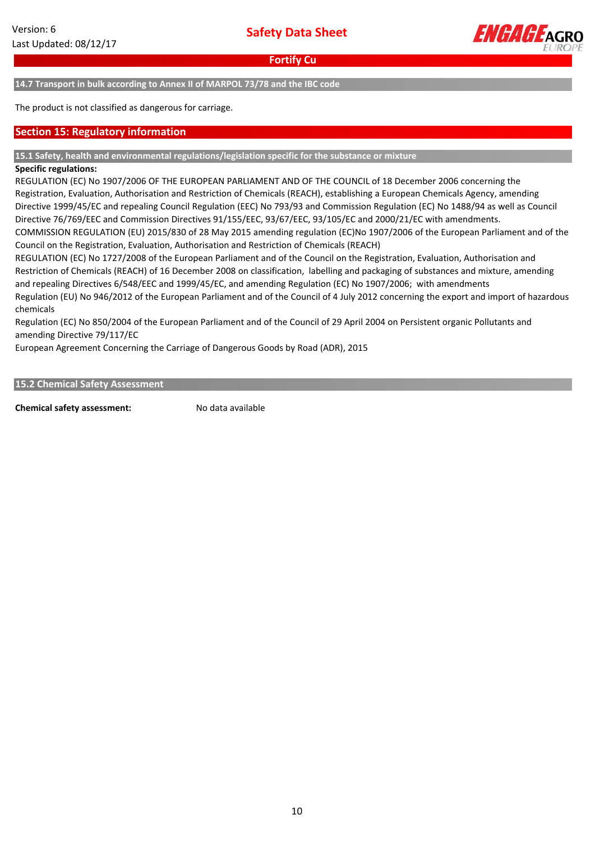

**14.7 Transport in bulk according to Annex II of MARPOL 73/78 and the IBC code**

The product is not classified as dangerous for carriage.

### **Section 15: Regulatory information**

#### **15.1 Safety, health and environmental regulations/legislation specific for the substance or mixture**

#### **Specific regulations:**

REGULATION (EC) No 1907/2006 OF THE EUROPEAN PARLIAMENT AND OF THE COUNCIL of 18 December 2006 concerning the Registration, Evaluation, Authorisation and Restriction of Chemicals (REACH), establishing a European Chemicals Agency, amending Directive 1999/45/EC and repealing Council Regulation (EEC) No 793/93 and Commission Regulation (EC) No 1488/94 as well as Council Directive 76/769/EEC and Commission Directives 91/155/EEC, 93/67/EEC, 93/105/EC and 2000/21/EC with amendments. COMMISSION REGULATION (EU) 2015/830 of 28 May 2015 amending regulation (EC)No 1907/2006 of the European Parliament and of the Council on the Registration, Evaluation, Authorisation and Restriction of Chemicals (REACH)

REGULATION (EC) No 1727/2008 of the European Parliament and of the Council on the Registration, Evaluation, Authorisation and Restriction of Chemicals (REACH) of 16 December 2008 on classification, labelling and packaging of substances and mixture, amending and repealing Directives 6/548/EEC and 1999/45/EC, and amending Regulation (EC) No 1907/2006; with amendments Regulation (EU) No 946/2012 of the European Parliament and of the Council of 4 July 2012 concerning the export and import of hazardous chemicals

Regulation (EC) No 850/2004 of the European Parliament and of the Council of 29 April 2004 on Persistent organic Pollutants and amending Directive 79/117/EC

European Agreement Concerning the Carriage of Dangerous Goods by Road (ADR), 2015

**15.2 Chemical Safety Assessment**

**Chemical safety assessment:** No data available